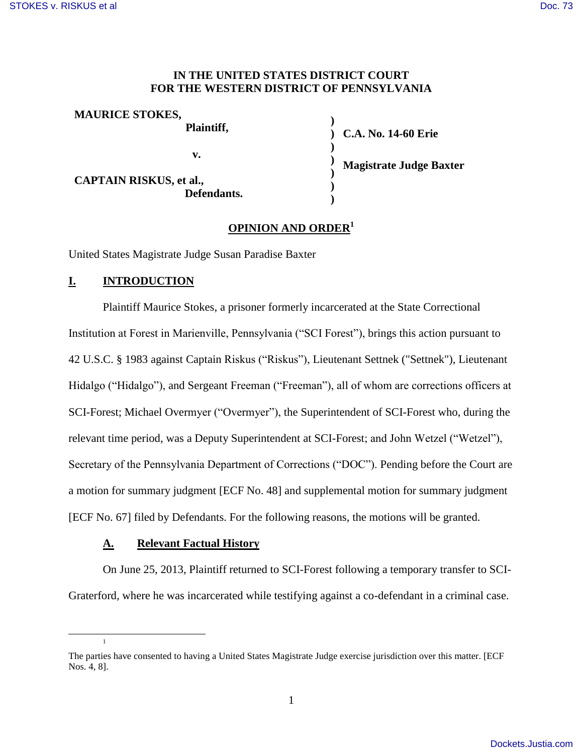## **IN THE UNITED STATES DISTRICT COURT FOR THE WESTERN DISTRICT OF PENNSYLVANIA**

| <b>MAURICE STOKES,</b>         | Plaintiff, |
|--------------------------------|------------|
|                                | v.         |
| <b>CAPTAIN RISKUS, et al.,</b> |            |

**) ) C.A. No. 14-60 Erie ) ) ) ) Magistrate Judge Baxter**

# **OPINION AND ORDER<sup>1</sup>**

**)** 

United States Magistrate Judge Susan Paradise Baxter

 **Defendants.** 

## **I. INTRODUCTION**

Plaintiff Maurice Stokes, a prisoner formerly incarcerated at the State Correctional Institution at Forest in Marienville, Pennsylvania ("SCI Forest"), brings this action pursuant to 42 U.S.C. § 1983 against Captain Riskus ("Riskus"), Lieutenant Settnek ("Settnek"), Lieutenant Hidalgo ("Hidalgo"), and Sergeant Freeman ("Freeman"), all of whom are corrections officers at SCI-Forest; Michael Overmyer ("Overmyer"), the Superintendent of SCI-Forest who, during the relevant time period, was a Deputy Superintendent at SCI-Forest; and John Wetzel ("Wetzel"), Secretary of the Pennsylvania Department of Corrections ("DOC"). Pending before the Court are a motion for summary judgment [ECF No. 48] and supplemental motion for summary judgment [ECF No. 67] filed by Defendants. For the following reasons, the motions will be granted.

#### **A. Relevant Factual History**

On June 25, 2013, Plaintiff returned to SCI-Forest following a temporary transfer to SCI-Graterford, where he was incarcerated while testifying against a co-defendant in a criminal case.

1

 $\overline{a}$ 

The parties have consented to having a United States Magistrate Judge exercise jurisdiction over this matter. [ECF Nos. 4, 8].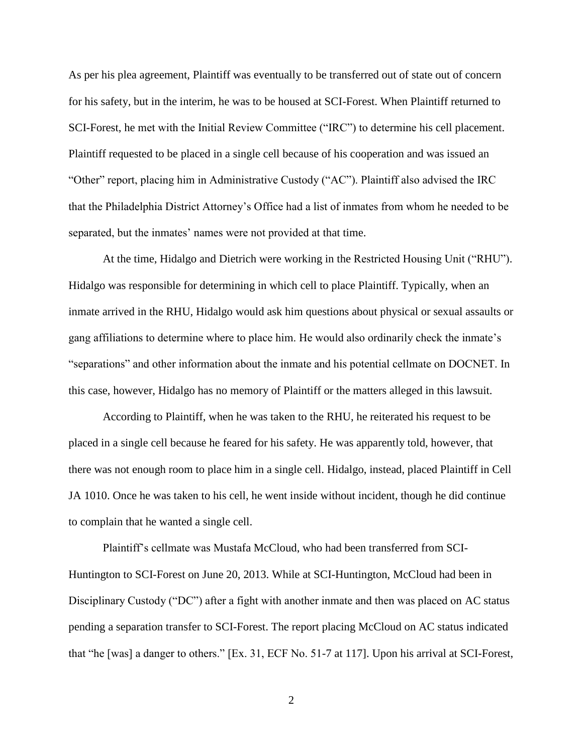As per his plea agreement, Plaintiff was eventually to be transferred out of state out of concern for his safety, but in the interim, he was to be housed at SCI-Forest. When Plaintiff returned to SCI-Forest, he met with the Initial Review Committee ("IRC") to determine his cell placement. Plaintiff requested to be placed in a single cell because of his cooperation and was issued an "Other" report, placing him in Administrative Custody ("AC"). Plaintiff also advised the IRC that the Philadelphia District Attorney's Office had a list of inmates from whom he needed to be separated, but the inmates' names were not provided at that time.

At the time, Hidalgo and Dietrich were working in the Restricted Housing Unit ("RHU"). Hidalgo was responsible for determining in which cell to place Plaintiff. Typically, when an inmate arrived in the RHU, Hidalgo would ask him questions about physical or sexual assaults or gang affiliations to determine where to place him. He would also ordinarily check the inmate's "separations" and other information about the inmate and his potential cellmate on DOCNET. In this case, however, Hidalgo has no memory of Plaintiff or the matters alleged in this lawsuit.

According to Plaintiff, when he was taken to the RHU, he reiterated his request to be placed in a single cell because he feared for his safety. He was apparently told, however, that there was not enough room to place him in a single cell. Hidalgo, instead, placed Plaintiff in Cell JA 1010. Once he was taken to his cell, he went inside without incident, though he did continue to complain that he wanted a single cell.

Plaintiff's cellmate was Mustafa McCloud, who had been transferred from SCI-Huntington to SCI-Forest on June 20, 2013. While at SCI-Huntington, McCloud had been in Disciplinary Custody ("DC") after a fight with another inmate and then was placed on AC status pending a separation transfer to SCI-Forest. The report placing McCloud on AC status indicated that "he [was] a danger to others." [Ex. 31, ECF No. 51-7 at 117]. Upon his arrival at SCI-Forest,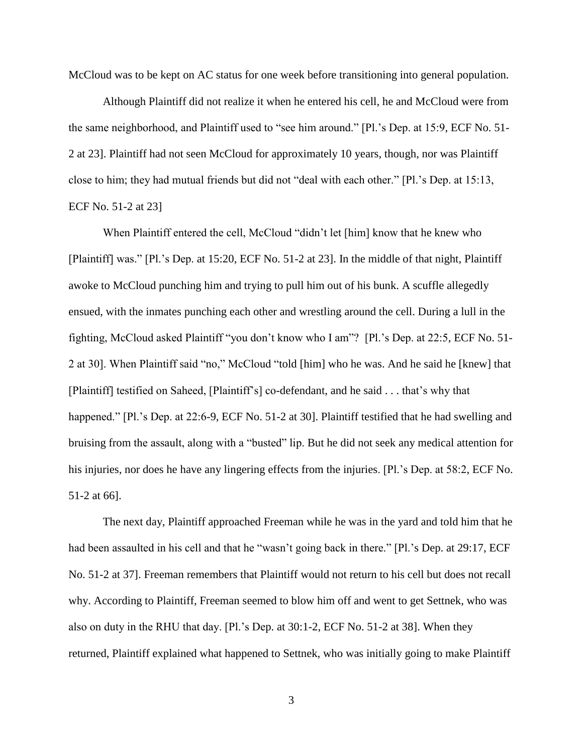McCloud was to be kept on AC status for one week before transitioning into general population.

Although Plaintiff did not realize it when he entered his cell, he and McCloud were from the same neighborhood, and Plaintiff used to "see him around." [Pl.'s Dep. at 15:9, ECF No. 51- 2 at 23]. Plaintiff had not seen McCloud for approximately 10 years, though, nor was Plaintiff close to him; they had mutual friends but did not "deal with each other." [Pl.'s Dep. at 15:13, ECF No. 51-2 at 23]

When Plaintiff entered the cell, McCloud "didn't let [him] know that he knew who [Plaintiff] was." [Pl.'s Dep. at 15:20, ECF No. 51-2 at 23]. In the middle of that night, Plaintiff awoke to McCloud punching him and trying to pull him out of his bunk. A scuffle allegedly ensued, with the inmates punching each other and wrestling around the cell. During a lull in the fighting, McCloud asked Plaintiff "you don't know who I am"? [Pl.'s Dep. at 22:5, ECF No. 51- 2 at 30]. When Plaintiff said "no," McCloud "told [him] who he was. And he said he [knew] that [Plaintiff] testified on Saheed, [Plaintiff's] co-defendant, and he said . . . that's why that happened." [Pl.'s Dep. at 22:6-9, ECF No. 51-2 at 30]. Plaintiff testified that he had swelling and bruising from the assault, along with a "busted" lip. But he did not seek any medical attention for his injuries, nor does he have any lingering effects from the injuries. [Pl.'s Dep. at 58:2, ECF No. 51-2 at 66].

The next day, Plaintiff approached Freeman while he was in the yard and told him that he had been assaulted in his cell and that he "wasn't going back in there." [Pl.'s Dep. at 29:17, ECF No. 51-2 at 37]. Freeman remembers that Plaintiff would not return to his cell but does not recall why. According to Plaintiff, Freeman seemed to blow him off and went to get Settnek, who was also on duty in the RHU that day. [Pl.'s Dep. at 30:1-2, ECF No. 51-2 at 38]. When they returned, Plaintiff explained what happened to Settnek, who was initially going to make Plaintiff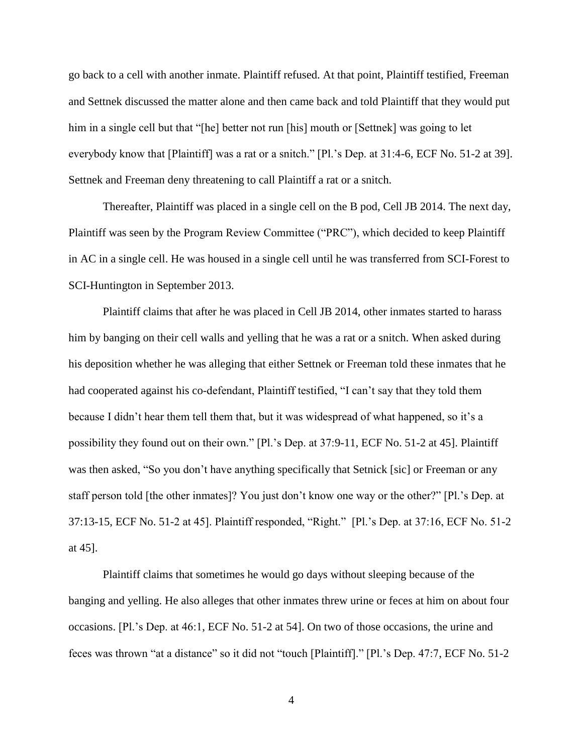go back to a cell with another inmate. Plaintiff refused. At that point, Plaintiff testified, Freeman and Settnek discussed the matter alone and then came back and told Plaintiff that they would put him in a single cell but that "[he] better not run [his] mouth or [Settnek] was going to let everybody know that [Plaintiff] was a rat or a snitch." [Pl.'s Dep. at 31:4-6, ECF No. 51-2 at 39]. Settnek and Freeman deny threatening to call Plaintiff a rat or a snitch.

Thereafter, Plaintiff was placed in a single cell on the B pod, Cell JB 2014. The next day, Plaintiff was seen by the Program Review Committee ("PRC"), which decided to keep Plaintiff in AC in a single cell. He was housed in a single cell until he was transferred from SCI-Forest to SCI-Huntington in September 2013.

Plaintiff claims that after he was placed in Cell JB 2014, other inmates started to harass him by banging on their cell walls and yelling that he was a rat or a snitch. When asked during his deposition whether he was alleging that either Settnek or Freeman told these inmates that he had cooperated against his co-defendant, Plaintiff testified, "I can't say that they told them because I didn't hear them tell them that, but it was widespread of what happened, so it's a possibility they found out on their own." [Pl.'s Dep. at 37:9-11, ECF No. 51-2 at 45]. Plaintiff was then asked, "So you don't have anything specifically that Setnick [sic] or Freeman or any staff person told [the other inmates]? You just don't know one way or the other?" [Pl.'s Dep. at 37:13-15, ECF No. 51-2 at 45]. Plaintiff responded, "Right." [Pl.'s Dep. at 37:16, ECF No. 51-2 at 45].

Plaintiff claims that sometimes he would go days without sleeping because of the banging and yelling. He also alleges that other inmates threw urine or feces at him on about four occasions. [Pl.'s Dep. at 46:1, ECF No. 51-2 at 54]. On two of those occasions, the urine and feces was thrown "at a distance" so it did not "touch [Plaintiff]." [Pl.'s Dep. 47:7, ECF No. 51-2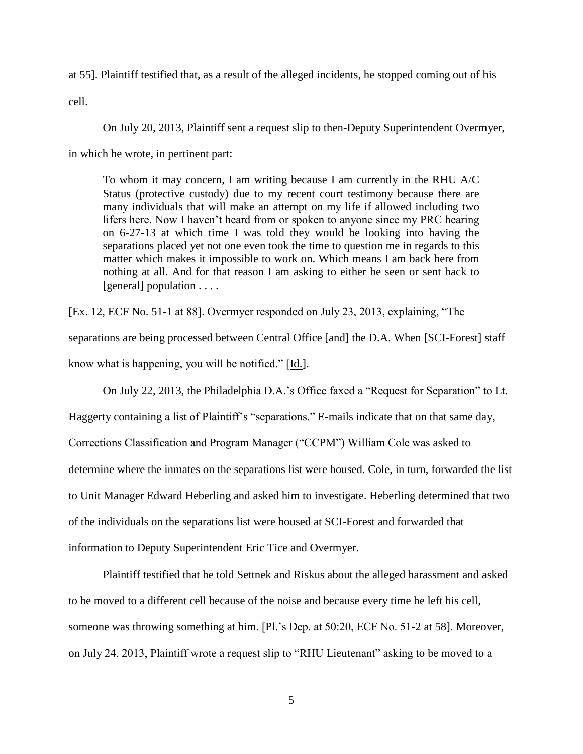at 55]. Plaintiff testified that, as a result of the alleged incidents, he stopped coming out of his

cell.

On July 20, 2013, Plaintiff sent a request slip to then-Deputy Superintendent Overmyer,

in which he wrote, in pertinent part:

To whom it may concern, I am writing because I am currently in the RHU A/C Status (protective custody) due to my recent court testimony because there are many individuals that will make an attempt on my life if allowed including two lifers here. Now I haven't heard from or spoken to anyone since my PRC hearing on 6-27-13 at which time I was told they would be looking into having the separations placed yet not one even took the time to question me in regards to this matter which makes it impossible to work on. Which means I am back here from nothing at all. And for that reason I am asking to either be seen or sent back to [general] population . . . .

[Ex. 12, ECF No. 51-1 at 88]. Overmyer responded on July 23, 2013, explaining, "The separations are being processed between Central Office [and] the D.A. When [SCI-Forest] staff know what is happening, you will be notified." [Id.].

On July 22, 2013, the Philadelphia D.A.'s Office faxed a "Request for Separation" to Lt.

Haggerty containing a list of Plaintiff's "separations." E-mails indicate that on that same day, Corrections Classification and Program Manager ("CCPM") William Cole was asked to determine where the inmates on the separations list were housed. Cole, in turn, forwarded the list to Unit Manager Edward Heberling and asked him to investigate. Heberling determined that two of the individuals on the separations list were housed at SCI-Forest and forwarded that information to Deputy Superintendent Eric Tice and Overmyer.

Plaintiff testified that he told Settnek and Riskus about the alleged harassment and asked to be moved to a different cell because of the noise and because every time he left his cell, someone was throwing something at him. [Pl.'s Dep. at 50:20, ECF No. 51-2 at 58]. Moreover, on July 24, 2013, Plaintiff wrote a request slip to "RHU Lieutenant" asking to be moved to a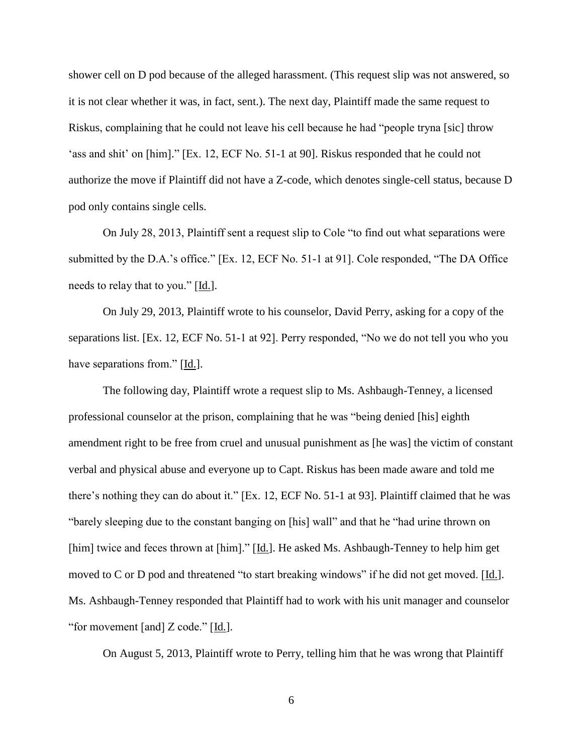shower cell on D pod because of the alleged harassment. (This request slip was not answered, so it is not clear whether it was, in fact, sent.). The next day, Plaintiff made the same request to Riskus, complaining that he could not leave his cell because he had "people tryna [sic] throw 'ass and shit' on [him]." [Ex. 12, ECF No. 51-1 at 90]. Riskus responded that he could not authorize the move if Plaintiff did not have a Z-code, which denotes single-cell status, because D pod only contains single cells.

On July 28, 2013, Plaintiff sent a request slip to Cole "to find out what separations were submitted by the D.A.'s office." [Ex. 12, ECF No. 51-1 at 91]. Cole responded, "The DA Office needs to relay that to you." [Id.].

On July 29, 2013, Plaintiff wrote to his counselor, David Perry, asking for a copy of the separations list. [Ex. 12, ECF No. 51-1 at 92]. Perry responded, "No we do not tell you who you have separations from." [Id.].

The following day, Plaintiff wrote a request slip to Ms. Ashbaugh-Tenney, a licensed professional counselor at the prison, complaining that he was "being denied [his] eighth amendment right to be free from cruel and unusual punishment as [he was] the victim of constant verbal and physical abuse and everyone up to Capt. Riskus has been made aware and told me there's nothing they can do about it." [Ex. 12, ECF No. 51-1 at 93]. Plaintiff claimed that he was "barely sleeping due to the constant banging on [his] wall" and that he "had urine thrown on [him] twice and feces thrown at [him]." [Id.]. He asked Ms. Ashbaugh-Tenney to help him get moved to C or D pod and threatened "to start breaking windows" if he did not get moved. [Id.]. Ms. Ashbaugh-Tenney responded that Plaintiff had to work with his unit manager and counselor "for movement [and] Z code." [Id.].

On August 5, 2013, Plaintiff wrote to Perry, telling him that he was wrong that Plaintiff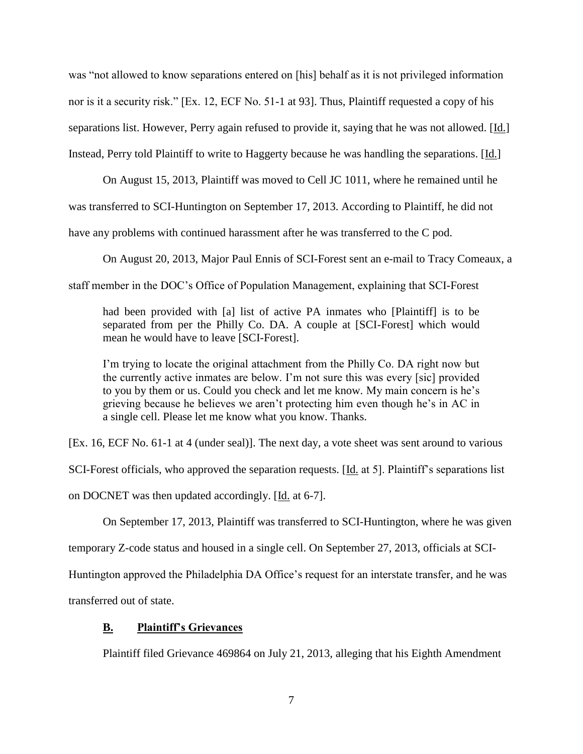was "not allowed to know separations entered on [his] behalf as it is not privileged information nor is it a security risk." [Ex. 12, ECF No. 51-1 at 93]. Thus, Plaintiff requested a copy of his separations list. However, Perry again refused to provide it, saying that he was not allowed. [Id.] Instead, Perry told Plaintiff to write to Haggerty because he was handling the separations. [Id.]

On August 15, 2013, Plaintiff was moved to Cell JC 1011, where he remained until he was transferred to SCI-Huntington on September 17, 2013. According to Plaintiff, he did not have any problems with continued harassment after he was transferred to the C pod.

On August 20, 2013, Major Paul Ennis of SCI-Forest sent an e-mail to Tracy Comeaux, a staff member in the DOC's Office of Population Management, explaining that SCI-Forest

had been provided with [a] list of active PA inmates who [Plaintiff] is to be separated from per the Philly Co. DA. A couple at [SCI-Forest] which would mean he would have to leave [SCI-Forest].

I'm trying to locate the original attachment from the Philly Co. DA right now but the currently active inmates are below. I'm not sure this was every [sic] provided to you by them or us. Could you check and let me know. My main concern is he's grieving because he believes we aren't protecting him even though he's in AC in a single cell. Please let me know what you know. Thanks.

[Ex. 16, ECF No. 61-1 at 4 (under seal)]. The next day, a vote sheet was sent around to various

SCI-Forest officials, who approved the separation requests. [Id. at 5]. Plaintiff's separations list

on DOCNET was then updated accordingly. [Id. at 6-7].

On September 17, 2013, Plaintiff was transferred to SCI-Huntington, where he was given

temporary Z-code status and housed in a single cell. On September 27, 2013, officials at SCI-

Huntington approved the Philadelphia DA Office's request for an interstate transfer, and he was

transferred out of state.

# **B. Plaintiff's Grievances**

Plaintiff filed Grievance 469864 on July 21, 2013, alleging that his Eighth Amendment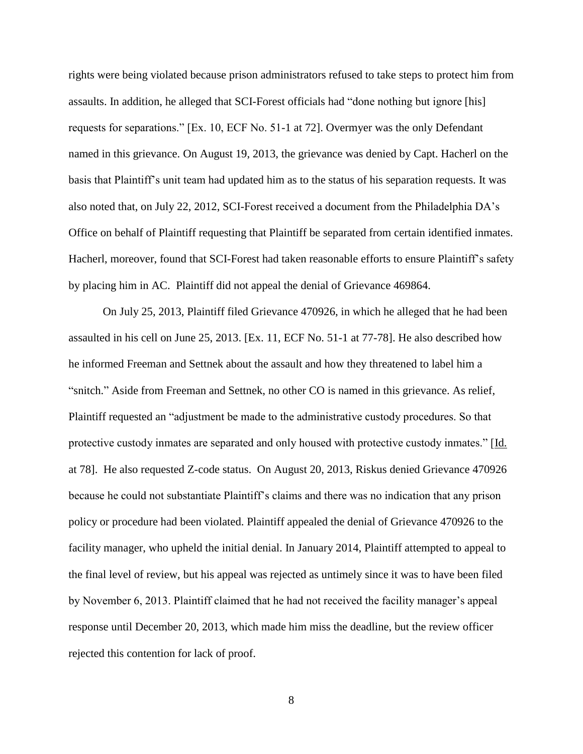rights were being violated because prison administrators refused to take steps to protect him from assaults. In addition, he alleged that SCI-Forest officials had "done nothing but ignore [his] requests for separations." [Ex. 10, ECF No. 51-1 at 72]. Overmyer was the only Defendant named in this grievance. On August 19, 2013, the grievance was denied by Capt. Hacherl on the basis that Plaintiff's unit team had updated him as to the status of his separation requests. It was also noted that, on July 22, 2012, SCI-Forest received a document from the Philadelphia DA's Office on behalf of Plaintiff requesting that Plaintiff be separated from certain identified inmates. Hacherl, moreover, found that SCI-Forest had taken reasonable efforts to ensure Plaintiff's safety by placing him in AC. Plaintiff did not appeal the denial of Grievance 469864.

On July 25, 2013, Plaintiff filed Grievance 470926, in which he alleged that he had been assaulted in his cell on June 25, 2013. [Ex. 11, ECF No. 51-1 at 77-78]. He also described how he informed Freeman and Settnek about the assault and how they threatened to label him a "snitch." Aside from Freeman and Settnek, no other CO is named in this grievance. As relief, Plaintiff requested an "adjustment be made to the administrative custody procedures. So that protective custody inmates are separated and only housed with protective custody inmates." [Id. at 78]. He also requested Z-code status. On August 20, 2013, Riskus denied Grievance 470926 because he could not substantiate Plaintiff's claims and there was no indication that any prison policy or procedure had been violated. Plaintiff appealed the denial of Grievance 470926 to the facility manager, who upheld the initial denial. In January 2014, Plaintiff attempted to appeal to the final level of review, but his appeal was rejected as untimely since it was to have been filed by November 6, 2013. Plaintiff claimed that he had not received the facility manager's appeal response until December 20, 2013, which made him miss the deadline, but the review officer rejected this contention for lack of proof.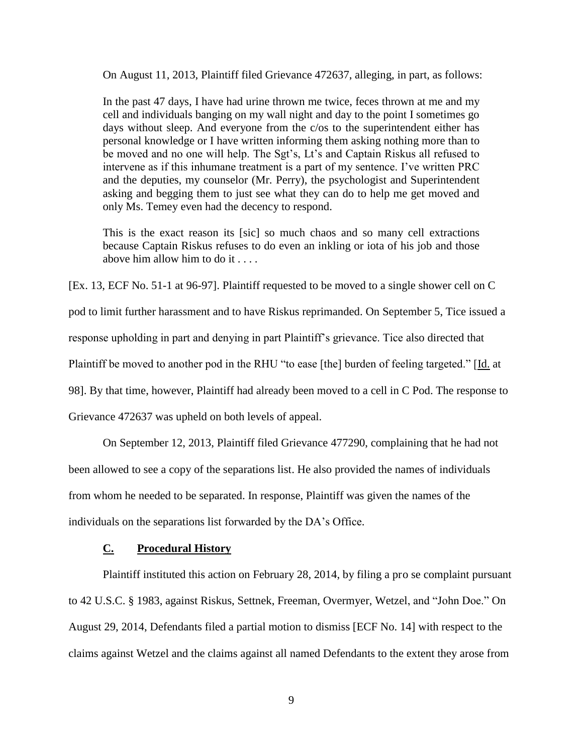On August 11, 2013, Plaintiff filed Grievance 472637, alleging, in part, as follows:

In the past 47 days, I have had urine thrown me twice, feces thrown at me and my cell and individuals banging on my wall night and day to the point I sometimes go days without sleep. And everyone from the c/os to the superintendent either has personal knowledge or I have written informing them asking nothing more than to be moved and no one will help. The Sgt's, Lt's and Captain Riskus all refused to intervene as if this inhumane treatment is a part of my sentence. I've written PRC and the deputies, my counselor (Mr. Perry), the psychologist and Superintendent asking and begging them to just see what they can do to help me get moved and only Ms. Temey even had the decency to respond.

This is the exact reason its [sic] so much chaos and so many cell extractions because Captain Riskus refuses to do even an inkling or iota of his job and those above him allow him to do it . . . .

[Ex. 13, ECF No. 51-1 at 96-97]. Plaintiff requested to be moved to a single shower cell on C

pod to limit further harassment and to have Riskus reprimanded. On September 5, Tice issued a

response upholding in part and denying in part Plaintiff's grievance. Tice also directed that

Plaintiff be moved to another pod in the RHU "to ease [the] burden of feeling targeted." [Id. at

98]. By that time, however, Plaintiff had already been moved to a cell in C Pod. The response to

Grievance 472637 was upheld on both levels of appeal.

On September 12, 2013, Plaintiff filed Grievance 477290, complaining that he had not been allowed to see a copy of the separations list. He also provided the names of individuals from whom he needed to be separated. In response, Plaintiff was given the names of the

individuals on the separations list forwarded by the DA's Office.

### **C. Procedural History**

Plaintiff instituted this action on February 28, 2014, by filing a pro se complaint pursuant to 42 U.S.C. § 1983, against Riskus, Settnek, Freeman, Overmyer, Wetzel, and "John Doe." On August 29, 2014, Defendants filed a partial motion to dismiss [ECF No. 14] with respect to the claims against Wetzel and the claims against all named Defendants to the extent they arose from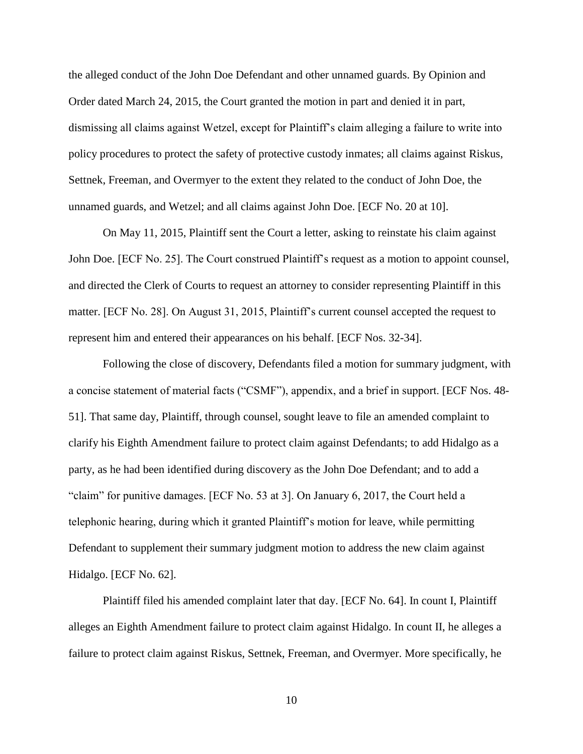the alleged conduct of the John Doe Defendant and other unnamed guards. By Opinion and Order dated March 24, 2015, the Court granted the motion in part and denied it in part, dismissing all claims against Wetzel, except for Plaintiff's claim alleging a failure to write into policy procedures to protect the safety of protective custody inmates; all claims against Riskus, Settnek, Freeman, and Overmyer to the extent they related to the conduct of John Doe, the unnamed guards, and Wetzel; and all claims against John Doe. [ECF No. 20 at 10].

On May 11, 2015, Plaintiff sent the Court a letter, asking to reinstate his claim against John Doe. [ECF No. 25]. The Court construed Plaintiff's request as a motion to appoint counsel, and directed the Clerk of Courts to request an attorney to consider representing Plaintiff in this matter. [ECF No. 28]. On August 31, 2015, Plaintiff's current counsel accepted the request to represent him and entered their appearances on his behalf. [ECF Nos. 32-34].

Following the close of discovery, Defendants filed a motion for summary judgment, with a concise statement of material facts ("CSMF"), appendix, and a brief in support. [ECF Nos. 48- 51]. That same day, Plaintiff, through counsel, sought leave to file an amended complaint to clarify his Eighth Amendment failure to protect claim against Defendants; to add Hidalgo as a party, as he had been identified during discovery as the John Doe Defendant; and to add a "claim" for punitive damages. [ECF No. 53 at 3]. On January 6, 2017, the Court held a telephonic hearing, during which it granted Plaintiff's motion for leave, while permitting Defendant to supplement their summary judgment motion to address the new claim against Hidalgo. [ECF No. 62].

Plaintiff filed his amended complaint later that day. [ECF No. 64]. In count I, Plaintiff alleges an Eighth Amendment failure to protect claim against Hidalgo. In count II, he alleges a failure to protect claim against Riskus, Settnek, Freeman, and Overmyer. More specifically, he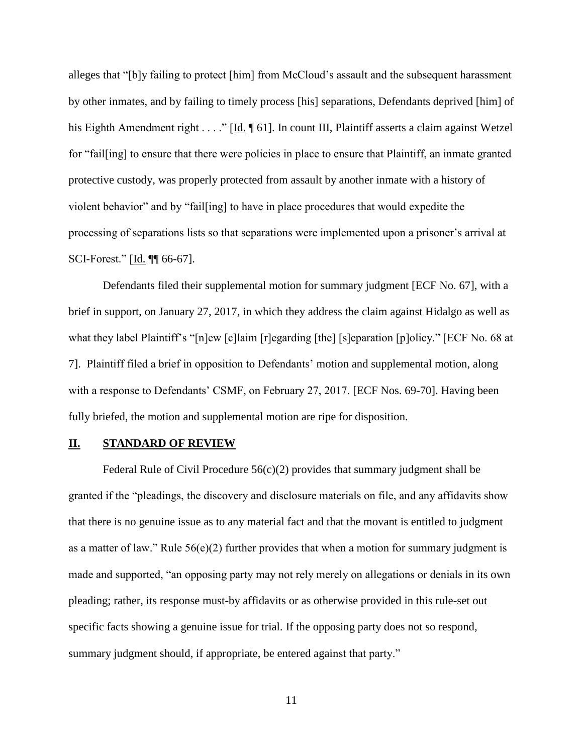alleges that "[b]y failing to protect [him] from McCloud's assault and the subsequent harassment by other inmates, and by failing to timely process [his] separations, Defendants deprived [him] of his Eighth Amendment right . . . . " [Id. ¶ 61]. In count III, Plaintiff asserts a claim against Wetzel for "fail[ing] to ensure that there were policies in place to ensure that Plaintiff, an inmate granted protective custody, was properly protected from assault by another inmate with a history of violent behavior" and by "fail[ing] to have in place procedures that would expedite the processing of separations lists so that separations were implemented upon a prisoner's arrival at SCI-Forest." [Id. ¶¶ 66-67].

Defendants filed their supplemental motion for summary judgment [ECF No. 67], with a brief in support, on January 27, 2017, in which they address the claim against Hidalgo as well as what they label Plaintiff's "[n]ew [c]laim [r]egarding [the] [s]eparation [p]olicy." [ECF No. 68 at 7]. Plaintiff filed a brief in opposition to Defendants' motion and supplemental motion, along with a response to Defendants' CSMF, on February 27, 2017. [ECF Nos. 69-70]. Having been fully briefed, the motion and supplemental motion are ripe for disposition.

# **II. STANDARD OF REVIEW**

Federal Rule of Civil Procedure  $56(c)(2)$  provides that summary judgment shall be granted if the "pleadings, the discovery and disclosure materials on file, and any affidavits show that there is no genuine issue as to any material fact and that the movant is entitled to judgment as a matter of law." Rule 56(e)(2) further provides that when a motion for summary judgment is made and supported, "an opposing party may not rely merely on allegations or denials in its own pleading; rather, its response must-by affidavits or as otherwise provided in this rule-set out specific facts showing a genuine issue for trial. If the opposing party does not so respond, summary judgment should, if appropriate, be entered against that party."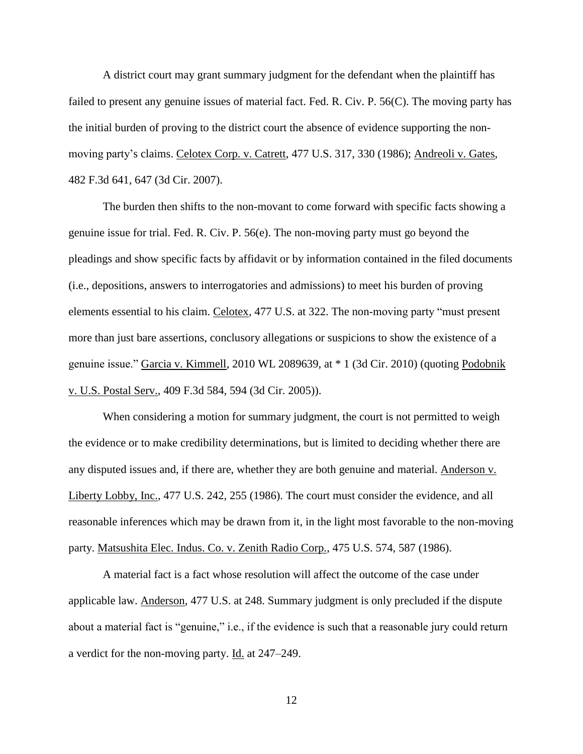A district court may grant summary judgment for the defendant when the plaintiff has failed to present any genuine issues of material fact. Fed. R. Civ. P. 56(C). The moving party has the initial burden of proving to the district court the absence of evidence supporting the nonmoving party's claims. Celotex Corp. v. Catrett, 477 U.S. 317, 330 (1986); Andreoli v. Gates, 482 F.3d 641, 647 (3d Cir. 2007).

The burden then shifts to the non-movant to come forward with specific facts showing a genuine issue for trial. Fed. R. Civ. P. 56(e). The non-moving party must go beyond the pleadings and show specific facts by affidavit or by information contained in the filed documents (i.e., depositions, answers to interrogatories and admissions) to meet his burden of proving elements essential to his claim. Celotex, 477 U.S. at 322. The non-moving party "must present more than just bare assertions, conclusory allegations or suspicions to show the existence of a genuine issue." Garcia v. Kimmell, 2010 WL 2089639, at \* 1 (3d Cir. 2010) (quoting Podobnik v. U.S. Postal Serv., 409 F.3d 584, 594 (3d Cir. 2005)).

When considering a motion for summary judgment, the court is not permitted to weigh the evidence or to make credibility determinations, but is limited to deciding whether there are any disputed issues and, if there are, whether they are both genuine and material. Anderson v. Liberty Lobby, Inc., 477 U.S. 242, 255 (1986). The court must consider the evidence, and all reasonable inferences which may be drawn from it, in the light most favorable to the non-moving party. Matsushita Elec. Indus. Co. v. Zenith Radio Corp., 475 U.S. 574, 587 (1986).

A material fact is a fact whose resolution will affect the outcome of the case under applicable law. Anderson, 477 U.S. at 248. Summary judgment is only precluded if the dispute about a material fact is "genuine," i.e., if the evidence is such that a reasonable jury could return a verdict for the non-moving party. Id. at 247–249.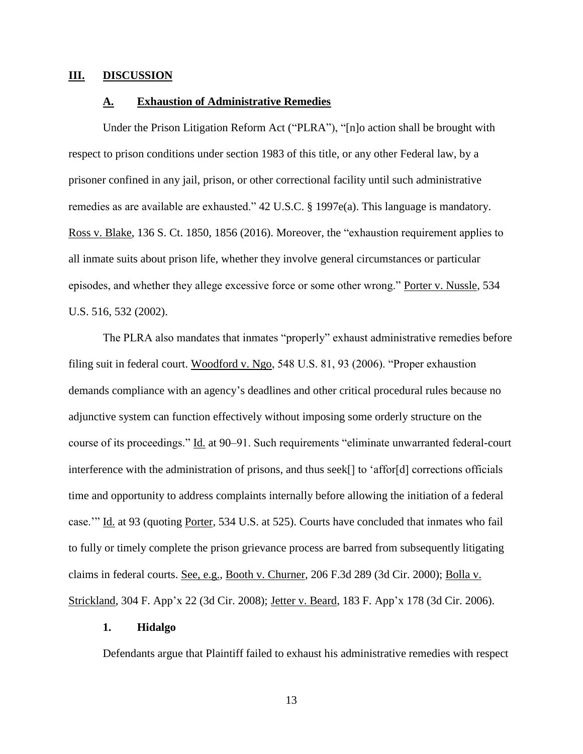### **III. DISCUSSION**

## **A. Exhaustion of Administrative Remedies**

Under the Prison Litigation Reform Act ("PLRA"), "[n]o action shall be brought with respect to prison conditions under section 1983 of this title, or any other Federal law, by a prisoner confined in any jail, prison, or other correctional facility until such administrative remedies as are available are exhausted." 42 U.S.C. § 1997e(a). This language is mandatory. Ross v. Blake, 136 S. Ct. 1850, 1856 (2016). Moreover, the "exhaustion requirement applies to all inmate suits about prison life, whether they involve general circumstances or particular episodes, and whether they allege excessive force or some other wrong." Porter v. Nussle, 534 U.S. 516, 532 (2002).

The PLRA also mandates that inmates "properly" exhaust administrative remedies before filing suit in federal court. Woodford v. Ngo, 548 U.S. 81, 93 (2006). "Proper exhaustion demands compliance with an agency's deadlines and other critical procedural rules because no adjunctive system can function effectively without imposing some orderly structure on the course of its proceedings." Id. at 90–91. Such requirements "eliminate unwarranted federal-court interference with the administration of prisons, and thus seek[] to 'affor[d] corrections officials time and opportunity to address complaints internally before allowing the initiation of a federal case.'" Id. at 93 (quoting Porter, 534 U.S. at 525). Courts have concluded that inmates who fail to fully or timely complete the prison grievance process are barred from subsequently litigating claims in federal courts. See, e.g., Booth v. Churner, 206 F.3d 289 (3d Cir. 2000); Bolla v. Strickland, 304 F. App'x 22 (3d Cir. 2008); Jetter v. Beard, 183 F. App'x 178 (3d Cir. 2006).

#### **1. Hidalgo**

Defendants argue that Plaintiff failed to exhaust his administrative remedies with respect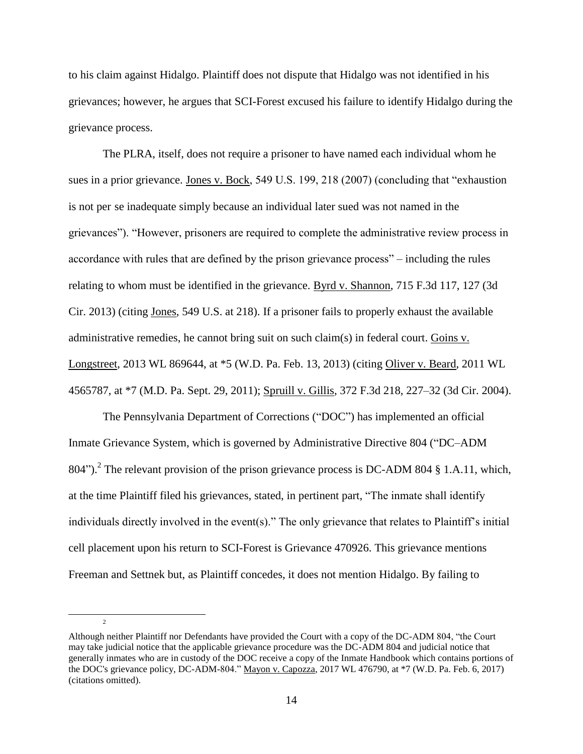to his claim against Hidalgo. Plaintiff does not dispute that Hidalgo was not identified in his grievances; however, he argues that SCI-Forest excused his failure to identify Hidalgo during the grievance process.

The PLRA, itself, does not require a prisoner to have named each individual whom he sues in a prior grievance. Jones v. Bock, 549 U.S. 199, 218 (2007) (concluding that "exhaustion is not per se inadequate simply because an individual later sued was not named in the grievances"). "However, prisoners are required to complete the administrative review process in accordance with rules that are defined by the prison grievance process" – including the rules relating to whom must be identified in the grievance. Byrd v. Shannon, 715 F.3d 117, 127 (3d Cir. 2013) (citing Jones, 549 U.S. at 218). If a prisoner fails to properly exhaust the available administrative remedies, he cannot bring suit on such claim(s) in federal court. Goins v. Longstreet, 2013 WL 869644, at \*5 (W.D. Pa. Feb. 13, 2013) (citing Oliver v. Beard, 2011 WL 4565787, at \*7 (M.D. Pa. Sept. 29, 2011); Spruill v. Gillis, 372 F.3d 218, 227–32 (3d Cir. 2004).

The Pennsylvania Department of Corrections ("DOC") has implemented an official Inmate Grievance System, which is governed by Administrative Directive 804 ("DC–ADM 804").<sup>2</sup> The relevant provision of the prison grievance process is DC-ADM 804 § 1.A.11, which, at the time Plaintiff filed his grievances, stated, in pertinent part, "The inmate shall identify individuals directly involved in the event(s)." The only grievance that relates to Plaintiff's initial cell placement upon his return to SCI-Forest is Grievance 470926. This grievance mentions Freeman and Settnek but, as Plaintiff concedes, it does not mention Hidalgo. By failing to

 $\overline{2}$ 

 $\overline{a}$ 

Although neither Plaintiff nor Defendants have provided the Court with a copy of the DC-ADM 804, "the Court may take judicial notice that the applicable grievance procedure was the DC-ADM 804 and judicial notice that generally inmates who are in custody of the DOC receive a copy of the Inmate Handbook which contains portions of the DOC's grievance policy, DC-ADM-804." Mayon v. Capozza, 2017 WL 476790, at \*7 (W.D. Pa. Feb. 6, 2017) (citations omitted).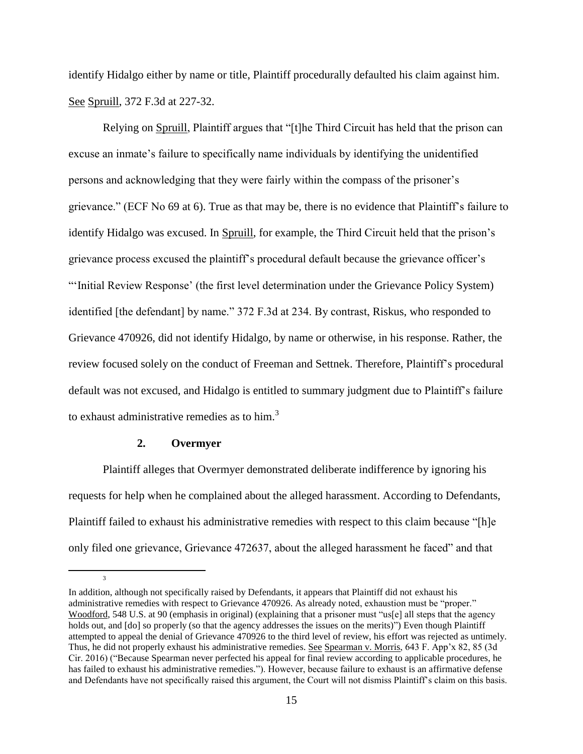identify Hidalgo either by name or title, Plaintiff procedurally defaulted his claim against him. See Spruill, 372 F.3d at 227-32.

Relying on Spruill, Plaintiff argues that "[t]he Third Circuit has held that the prison can excuse an inmate's failure to specifically name individuals by identifying the unidentified persons and acknowledging that they were fairly within the compass of the prisoner's grievance." (ECF No 69 at 6). True as that may be, there is no evidence that Plaintiff's failure to identify Hidalgo was excused. In Spruill, for example, the Third Circuit held that the prison's grievance process excused the plaintiff's procedural default because the grievance officer's "'Initial Review Response' (the first level determination under the Grievance Policy System) identified [the defendant] by name." 372 F.3d at 234. By contrast, Riskus, who responded to Grievance 470926, did not identify Hidalgo, by name or otherwise, in his response. Rather, the review focused solely on the conduct of Freeman and Settnek. Therefore, Plaintiff's procedural default was not excused, and Hidalgo is entitled to summary judgment due to Plaintiff's failure to exhaust administrative remedies as to him.<sup>3</sup>

### **2. Overmyer**

 $\overline{a}$ 

3

Plaintiff alleges that Overmyer demonstrated deliberate indifference by ignoring his requests for help when he complained about the alleged harassment. According to Defendants, Plaintiff failed to exhaust his administrative remedies with respect to this claim because "[h]e only filed one grievance, Grievance 472637, about the alleged harassment he faced" and that

In addition, although not specifically raised by Defendants, it appears that Plaintiff did not exhaust his administrative remedies with respect to Grievance 470926. As already noted, exhaustion must be "proper." Woodford, 548 U.S. at 90 (emphasis in original) (explaining that a prisoner must "us[e] all steps that the agency holds out, and  $\lceil \text{do} \rceil$  so properly (so that the agency addresses the issues on the merits)") Even though Plaintiff attempted to appeal the denial of Grievance 470926 to the third level of review, his effort was rejected as untimely. Thus, he did not properly exhaust his administrative remedies. See Spearman v. Morris, 643 F. App'x 82, 85 (3d Cir. 2016) ("Because Spearman never perfected his appeal for final review according to applicable procedures, he has failed to exhaust his administrative remedies."). However, because failure to exhaust is an affirmative defense and Defendants have not specifically raised this argument, the Court will not dismiss Plaintiff's claim on this basis.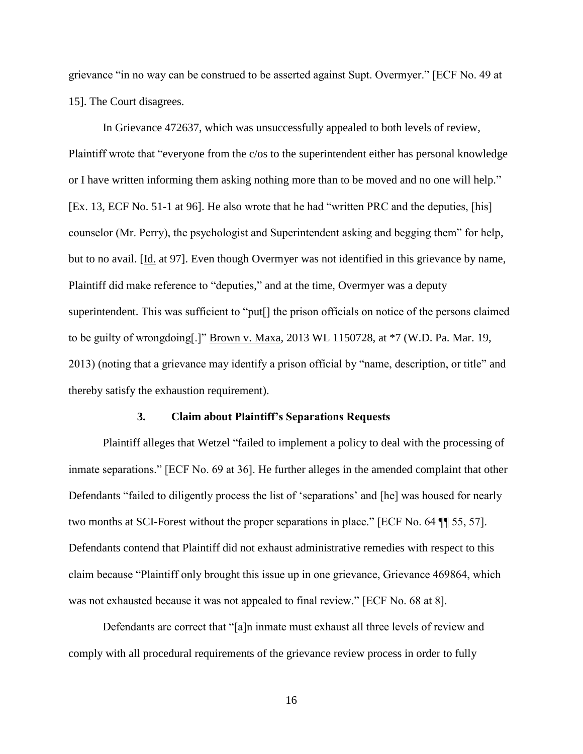grievance "in no way can be construed to be asserted against Supt. Overmyer." [ECF No. 49 at 15]. The Court disagrees.

In Grievance 472637, which was unsuccessfully appealed to both levels of review, Plaintiff wrote that "everyone from the c/os to the superintendent either has personal knowledge or I have written informing them asking nothing more than to be moved and no one will help." [Ex. 13, ECF No. 51-1 at 96]. He also wrote that he had "written PRC and the deputies, [his] counselor (Mr. Perry), the psychologist and Superintendent asking and begging them" for help, but to no avail. [Id. at 97]. Even though Overmyer was not identified in this grievance by name, Plaintiff did make reference to "deputies," and at the time, Overmyer was a deputy superintendent. This was sufficient to "put[] the prison officials on notice of the persons claimed to be guilty of wrongdoing[.]" Brown v. Maxa, 2013 WL 1150728, at \*7 (W.D. Pa. Mar. 19, 2013) (noting that a grievance may identify a prison official by "name, description, or title" and thereby satisfy the exhaustion requirement).

### **3. Claim about Plaintiff's Separations Requests**

Plaintiff alleges that Wetzel "failed to implement a policy to deal with the processing of inmate separations." [ECF No. 69 at 36]. He further alleges in the amended complaint that other Defendants "failed to diligently process the list of 'separations' and [he] was housed for nearly two months at SCI-Forest without the proper separations in place." [ECF No. 64 ¶¶ 55, 57]. Defendants contend that Plaintiff did not exhaust administrative remedies with respect to this claim because "Plaintiff only brought this issue up in one grievance, Grievance 469864, which was not exhausted because it was not appealed to final review." [ECF No. 68 at 8].

Defendants are correct that "[a]n inmate must exhaust all three levels of review and comply with all procedural requirements of the grievance review process in order to fully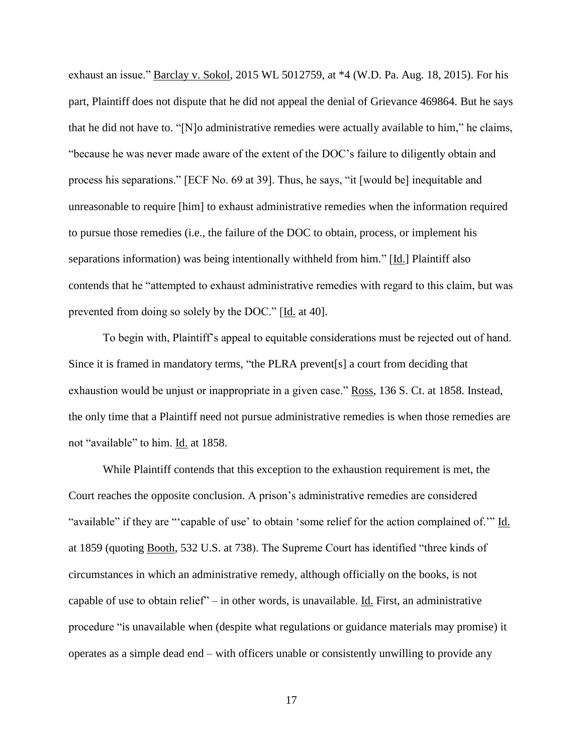exhaust an issue." Barclay v. Sokol, 2015 WL 5012759, at \*4 (W.D. Pa. Aug. 18, 2015). For his part, Plaintiff does not dispute that he did not appeal the denial of Grievance 469864. But he says that he did not have to. "[N]o administrative remedies were actually available to him," he claims, "because he was never made aware of the extent of the DOC's failure to diligently obtain and process his separations." [ECF No. 69 at 39]. Thus, he says, "it [would be] inequitable and unreasonable to require [him] to exhaust administrative remedies when the information required to pursue those remedies (i.e., the failure of the DOC to obtain, process, or implement his separations information) was being intentionally withheld from him." [Id.] Plaintiff also contends that he "attempted to exhaust administrative remedies with regard to this claim, but was prevented from doing so solely by the DOC." [Id. at 40].

To begin with, Plaintiff's appeal to equitable considerations must be rejected out of hand. Since it is framed in mandatory terms, "the PLRA prevent[s] a court from deciding that exhaustion would be unjust or inappropriate in a given case." Ross, 136 S. Ct. at 1858. Instead, the only time that a Plaintiff need not pursue administrative remedies is when those remedies are not "available" to him. Id. at 1858.

While Plaintiff contends that this exception to the exhaustion requirement is met, the Court reaches the opposite conclusion. A prison's administrative remedies are considered "available" if they are "'capable of use' to obtain 'some relief for the action complained of.'" Id. at 1859 (quoting Booth, 532 U.S. at 738). The Supreme Court has identified "three kinds of circumstances in which an administrative remedy, although officially on the books, is not capable of use to obtain relief" – in other words, is unavailable. Id. First, an administrative procedure "is unavailable when (despite what regulations or guidance materials may promise) it operates as a simple dead end – with officers unable or consistently unwilling to provide any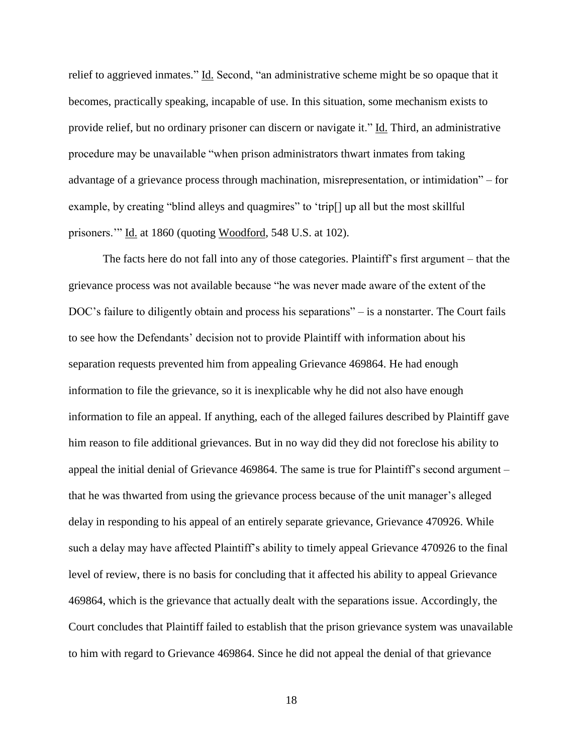relief to aggrieved inmates." Id. Second, "an administrative scheme might be so opaque that it becomes, practically speaking, incapable of use. In this situation, some mechanism exists to provide relief, but no ordinary prisoner can discern or navigate it." Id. Third, an administrative procedure may be unavailable "when prison administrators thwart inmates from taking advantage of a grievance process through machination, misrepresentation, or intimidation" – for example, by creating "blind alleys and quagmires" to 'trip[] up all but the most skillful prisoners.'" Id. at 1860 (quoting Woodford, 548 U.S. at 102).

The facts here do not fall into any of those categories. Plaintiff's first argument – that the grievance process was not available because "he was never made aware of the extent of the DOC's failure to diligently obtain and process his separations" – is a nonstarter. The Court fails to see how the Defendants' decision not to provide Plaintiff with information about his separation requests prevented him from appealing Grievance 469864. He had enough information to file the grievance, so it is inexplicable why he did not also have enough information to file an appeal. If anything, each of the alleged failures described by Plaintiff gave him reason to file additional grievances. But in no way did they did not foreclose his ability to appeal the initial denial of Grievance 469864. The same is true for Plaintiff's second argument – that he was thwarted from using the grievance process because of the unit manager's alleged delay in responding to his appeal of an entirely separate grievance, Grievance 470926. While such a delay may have affected Plaintiff's ability to timely appeal Grievance 470926 to the final level of review, there is no basis for concluding that it affected his ability to appeal Grievance 469864, which is the grievance that actually dealt with the separations issue. Accordingly, the Court concludes that Plaintiff failed to establish that the prison grievance system was unavailable to him with regard to Grievance 469864. Since he did not appeal the denial of that grievance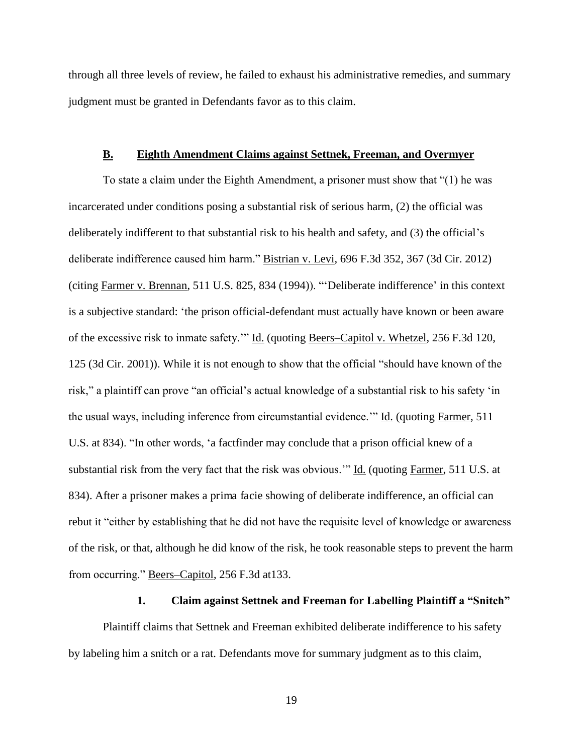through all three levels of review, he failed to exhaust his administrative remedies, and summary judgment must be granted in Defendants favor as to this claim.

#### **B. Eighth Amendment Claims against Settnek, Freeman, and Overmyer**

To state a claim under the Eighth Amendment, a prisoner must show that "(1) he was incarcerated under conditions posing a substantial risk of serious harm, (2) the official was deliberately indifferent to that substantial risk to his health and safety, and (3) the official's deliberate indifference caused him harm." Bistrian v. Levi, 696 F.3d 352, 367 (3d Cir. 2012) (citing Farmer v. Brennan, 511 U.S. 825, 834 (1994)). "'Deliberate indifference' in this context is a subjective standard: 'the prison official-defendant must actually have known or been aware of the excessive risk to inmate safety.'" Id. (quoting Beers–Capitol v. Whetzel, 256 F.3d 120, 125 (3d Cir. 2001)). While it is not enough to show that the official "should have known of the risk," a plaintiff can prove "an official's actual knowledge of a substantial risk to his safety 'in the usual ways, including inference from circumstantial evidence.'" Id. (quoting Farmer, 511 U.S. at 834). "In other words, 'a factfinder may conclude that a prison official knew of a substantial risk from the very fact that the risk was obvious.'" Id. (quoting Farmer, 511 U.S. at 834). After a prisoner makes a prima facie showing of deliberate indifference, an official can rebut it "either by establishing that he did not have the requisite level of knowledge or awareness of the risk, or that, although he did know of the risk, he took reasonable steps to prevent the harm from occurring." Beers–Capitol, 256 F.3d at133.

#### **1. Claim against Settnek and Freeman for Labelling Plaintiff a "Snitch"**

Plaintiff claims that Settnek and Freeman exhibited deliberate indifference to his safety by labeling him a snitch or a rat. Defendants move for summary judgment as to this claim,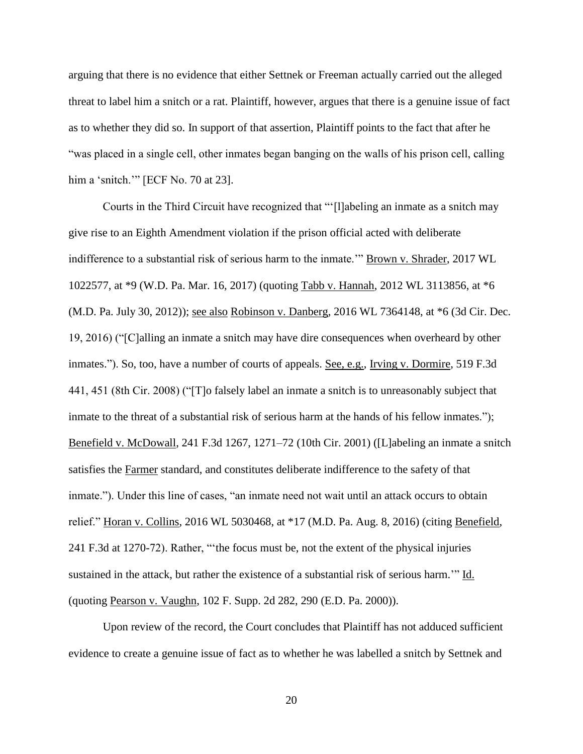arguing that there is no evidence that either Settnek or Freeman actually carried out the alleged threat to label him a snitch or a rat. Plaintiff, however, argues that there is a genuine issue of fact as to whether they did so. In support of that assertion, Plaintiff points to the fact that after he "was placed in a single cell, other inmates began banging on the walls of his prison cell, calling him a 'snitch.'" [ECF No. 70 at 23].

Courts in the Third Circuit have recognized that "'[l]abeling an inmate as a snitch may give rise to an Eighth Amendment violation if the prison official acted with deliberate indifference to a substantial risk of serious harm to the inmate.'" Brown v. Shrader, 2017 WL 1022577, at \*9 (W.D. Pa. Mar. 16, 2017) (quoting Tabb v. Hannah, 2012 WL 3113856, at \*6 (M.D. Pa. July 30, 2012)); see also Robinson v. Danberg, 2016 WL 7364148, at \*6 (3d Cir. Dec. 19, 2016) ("[C]alling an inmate a snitch may have dire consequences when overheard by other inmates."). So, too, have a number of courts of appeals. See, e.g., Irving v. Dormire, 519 F.3d 441, 451 (8th Cir. 2008) ("[T]o falsely label an inmate a snitch is to unreasonably subject that inmate to the threat of a substantial risk of serious harm at the hands of his fellow inmates."); Benefield v. McDowall, 241 F.3d 1267, 1271–72 (10th Cir. 2001) ([L]abeling an inmate a snitch satisfies the Farmer standard, and constitutes deliberate indifference to the safety of that inmate."). Under this line of cases, "an inmate need not wait until an attack occurs to obtain relief." Horan v. Collins, 2016 WL 5030468, at \*17 (M.D. Pa. Aug. 8, 2016) (citing Benefield, 241 F.3d at 1270-72). Rather, "'the focus must be, not the extent of the physical injuries sustained in the attack, but rather the existence of a substantial risk of serious harm." Id. (quoting Pearson v. Vaughn, 102 F. Supp. 2d 282, 290 (E.D. Pa. 2000)).

Upon review of the record, the Court concludes that Plaintiff has not adduced sufficient evidence to create a genuine issue of fact as to whether he was labelled a snitch by Settnek and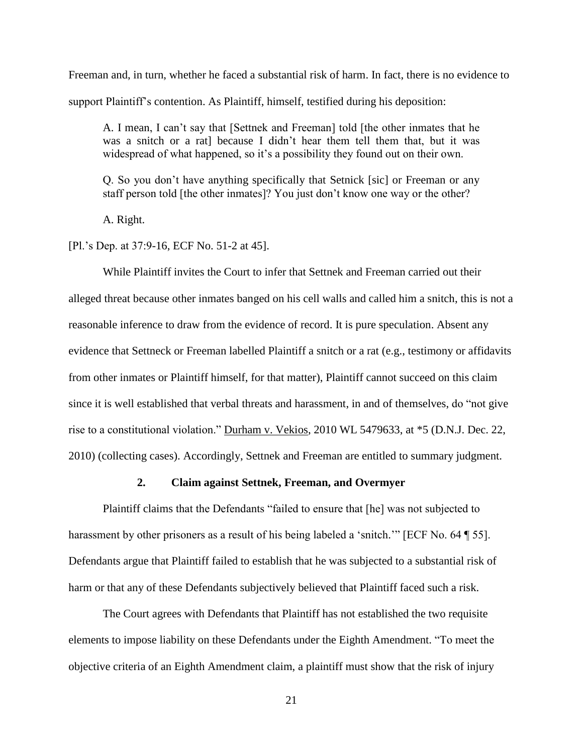Freeman and, in turn, whether he faced a substantial risk of harm. In fact, there is no evidence to support Plaintiff's contention. As Plaintiff, himself, testified during his deposition:

A. I mean, I can't say that [Settnek and Freeman] told [the other inmates that he was a snitch or a rat] because I didn't hear them tell them that, but it was widespread of what happened, so it's a possibility they found out on their own.

Q. So you don't have anything specifically that Setnick [sic] or Freeman or any staff person told [the other inmates]? You just don't know one way or the other?

A. Right.

[Pl.'s Dep. at 37:9-16, ECF No. 51-2 at 45].

While Plaintiff invites the Court to infer that Settnek and Freeman carried out their alleged threat because other inmates banged on his cell walls and called him a snitch, this is not a reasonable inference to draw from the evidence of record. It is pure speculation. Absent any evidence that Settneck or Freeman labelled Plaintiff a snitch or a rat (e.g., testimony or affidavits from other inmates or Plaintiff himself, for that matter), Plaintiff cannot succeed on this claim since it is well established that verbal threats and harassment, in and of themselves, do "not give rise to a constitutional violation." Durham v. Vekios, 2010 WL 5479633, at \*5 (D.N.J. Dec. 22, 2010) (collecting cases). Accordingly, Settnek and Freeman are entitled to summary judgment.

# **2. Claim against Settnek, Freeman, and Overmyer**

Plaintiff claims that the Defendants "failed to ensure that [he] was not subjected to harassment by other prisoners as a result of his being labeled a 'snitch.'" [ECF No. 64 ¶ 55]. Defendants argue that Plaintiff failed to establish that he was subjected to a substantial risk of harm or that any of these Defendants subjectively believed that Plaintiff faced such a risk.

 The Court agrees with Defendants that Plaintiff has not established the two requisite elements to impose liability on these Defendants under the Eighth Amendment. "To meet the objective criteria of an Eighth Amendment claim, a plaintiff must show that the risk of injury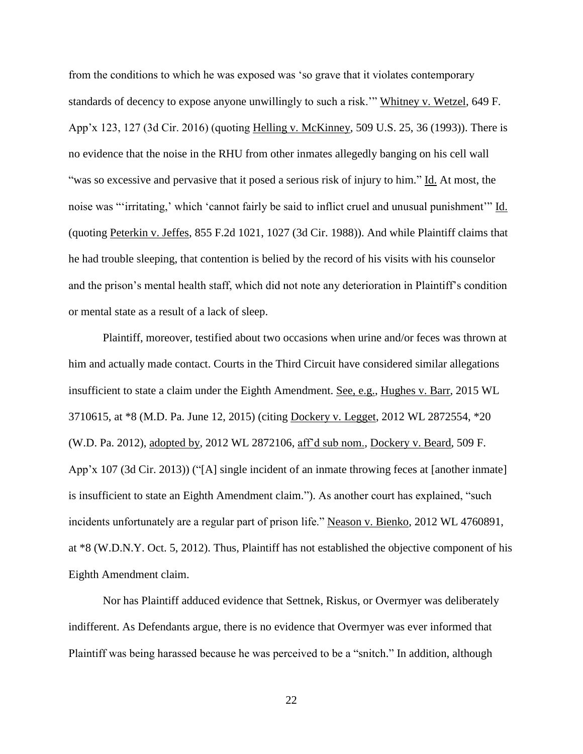from the conditions to which he was exposed was 'so grave that it violates contemporary standards of decency to expose anyone unwillingly to such a risk.'" Whitney v. Wetzel, 649 F. App'x 123, 127 (3d Cir. 2016) (quoting Helling v. McKinney, 509 U.S. 25, 36 (1993)). There is no evidence that the noise in the RHU from other inmates allegedly banging on his cell wall "was so excessive and pervasive that it posed a serious risk of injury to him." Id. At most, the noise was "'irritating,' which 'cannot fairly be said to inflict cruel and unusual punishment'" Id. (quoting Peterkin v. Jeffes, 855 F.2d 1021, 1027 (3d Cir. 1988)). And while Plaintiff claims that he had trouble sleeping, that contention is belied by the record of his visits with his counselor and the prison's mental health staff, which did not note any deterioration in Plaintiff's condition or mental state as a result of a lack of sleep.

Plaintiff, moreover, testified about two occasions when urine and/or feces was thrown at him and actually made contact. Courts in the Third Circuit have considered similar allegations insufficient to state a claim under the Eighth Amendment. See, e.g., Hughes v. Barr, 2015 WL 3710615, at \*8 (M.D. Pa. June 12, 2015) (citing Dockery v. Legget, 2012 WL 2872554, \*20 (W.D. Pa. 2012), adopted by, 2012 WL 2872106, aff'd sub nom., Dockery v. Beard, 509 F. App'x 107 (3d Cir. 2013)) ("[A] single incident of an inmate throwing feces at [another inmate] is insufficient to state an Eighth Amendment claim."). As another court has explained, "such incidents unfortunately are a regular part of prison life." Neason v. Bienko, 2012 WL 4760891, at \*8 (W.D.N.Y. Oct. 5, 2012). Thus, Plaintiff has not established the objective component of his Eighth Amendment claim.

 Nor has Plaintiff adduced evidence that Settnek, Riskus, or Overmyer was deliberately indifferent. As Defendants argue, there is no evidence that Overmyer was ever informed that Plaintiff was being harassed because he was perceived to be a "snitch." In addition, although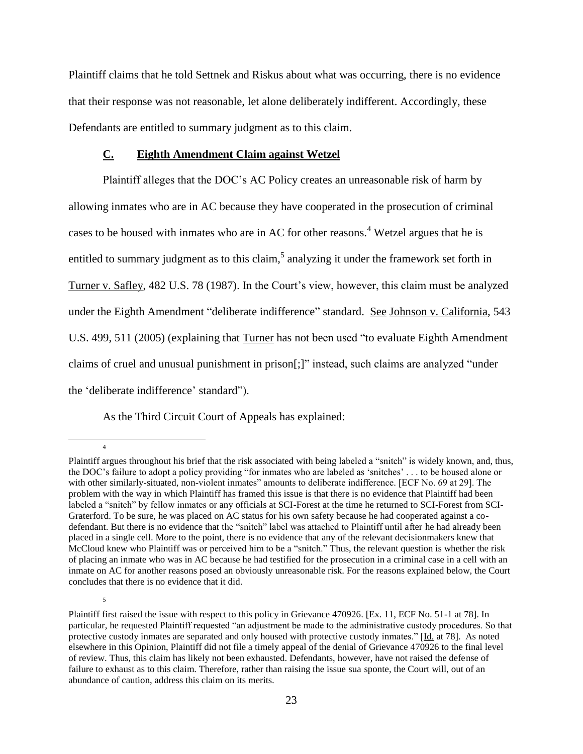Plaintiff claims that he told Settnek and Riskus about what was occurring, there is no evidence that their response was not reasonable, let alone deliberately indifferent. Accordingly, these Defendants are entitled to summary judgment as to this claim.

## **C. Eighth Amendment Claim against Wetzel**

Plaintiff alleges that the DOC's AC Policy creates an unreasonable risk of harm by allowing inmates who are in AC because they have cooperated in the prosecution of criminal cases to be housed with inmates who are in AC for other reasons.<sup>4</sup> Wetzel argues that he is entitled to summary judgment as to this claim,<sup>5</sup> analyzing it under the framework set forth in Turner v. Safley, 482 U.S. 78 (1987). In the Court's view, however, this claim must be analyzed under the Eighth Amendment "deliberate indifference" standard. See Johnson v. California, 543 U.S. 499, 511 (2005) (explaining that Turner has not been used "to evaluate Eighth Amendment claims of cruel and unusual punishment in prison[;]" instead, such claims are analyzed "under the 'deliberate indifference' standard").

As the Third Circuit Court of Appeals has explained:

 $\overline{a}$ 

4

Plaintiff argues throughout his brief that the risk associated with being labeled a "snitch" is widely known, and, thus, the DOC's failure to adopt a policy providing "for inmates who are labeled as 'snitches' . . . to be housed alone or with other similarly-situated, non-violent inmates" amounts to deliberate indifference. [ECF No. 69 at 29]. The problem with the way in which Plaintiff has framed this issue is that there is no evidence that Plaintiff had been labeled a "snitch" by fellow inmates or any officials at SCI-Forest at the time he returned to SCI-Forest from SCI-Graterford. To be sure, he was placed on AC status for his own safety because he had cooperated against a codefendant. But there is no evidence that the "snitch" label was attached to Plaintiff until after he had already been placed in a single cell. More to the point, there is no evidence that any of the relevant decisionmakers knew that McCloud knew who Plaintiff was or perceived him to be a "snitch." Thus, the relevant question is whether the risk of placing an inmate who was in AC because he had testified for the prosecution in a criminal case in a cell with an inmate on AC for another reasons posed an obviously unreasonable risk. For the reasons explained below, the Court concludes that there is no evidence that it did.

Plaintiff first raised the issue with respect to this policy in Grievance 470926. [Ex. 11, ECF No. 51-1 at 78]. In particular, he requested Plaintiff requested "an adjustment be made to the administrative custody procedures. So that protective custody inmates are separated and only housed with protective custody inmates." [Id. at 78]. As noted elsewhere in this Opinion, Plaintiff did not file a timely appeal of the denial of Grievance 470926 to the final level of review. Thus, this claim has likely not been exhausted. Defendants, however, have not raised the defense of failure to exhaust as to this claim. Therefore, rather than raising the issue sua sponte, the Court will, out of an abundance of caution, address this claim on its merits.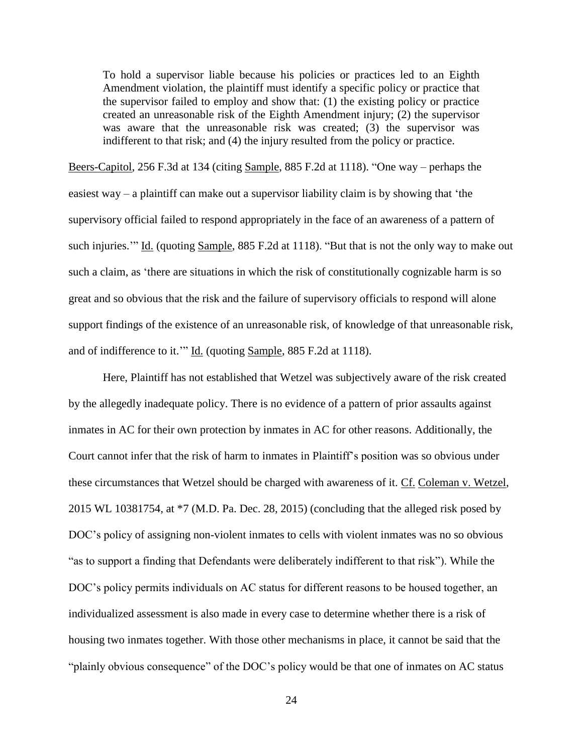To hold a supervisor liable because his policies or practices led to an Eighth Amendment violation, the plaintiff must identify a specific policy or practice that the supervisor failed to employ and show that: (1) the existing policy or practice created an unreasonable risk of the Eighth Amendment injury; (2) the supervisor was aware that the unreasonable risk was created; (3) the supervisor was indifferent to that risk; and (4) the injury resulted from the policy or practice.

Beers-Capitol, 256 F.3d at 134 (citing Sample, 885 F.2d at 1118). "One way – perhaps the easiest way – a plaintiff can make out a supervisor liability claim is by showing that 'the supervisory official failed to respond appropriately in the face of an awareness of a pattern of such injuries." Id. (quoting Sample, 885 F.2d at 1118). "But that is not the only way to make out such a claim, as 'there are situations in which the risk of constitutionally cognizable harm is so great and so obvious that the risk and the failure of supervisory officials to respond will alone support findings of the existence of an unreasonable risk, of knowledge of that unreasonable risk, and of indifference to it.'" Id. (quoting Sample, 885 F.2d at 1118).

Here, Plaintiff has not established that Wetzel was subjectively aware of the risk created by the allegedly inadequate policy. There is no evidence of a pattern of prior assaults against inmates in AC for their own protection by inmates in AC for other reasons. Additionally, the Court cannot infer that the risk of harm to inmates in Plaintiff's position was so obvious under these circumstances that Wetzel should be charged with awareness of it. Cf. Coleman v. Wetzel, 2015 WL 10381754, at \*7 (M.D. Pa. Dec. 28, 2015) (concluding that the alleged risk posed by DOC's policy of assigning non-violent inmates to cells with violent inmates was no so obvious "as to support a finding that Defendants were deliberately indifferent to that risk"). While the DOC's policy permits individuals on AC status for different reasons to be housed together, an individualized assessment is also made in every case to determine whether there is a risk of housing two inmates together. With those other mechanisms in place, it cannot be said that the "plainly obvious consequence" of the DOC's policy would be that one of inmates on AC status